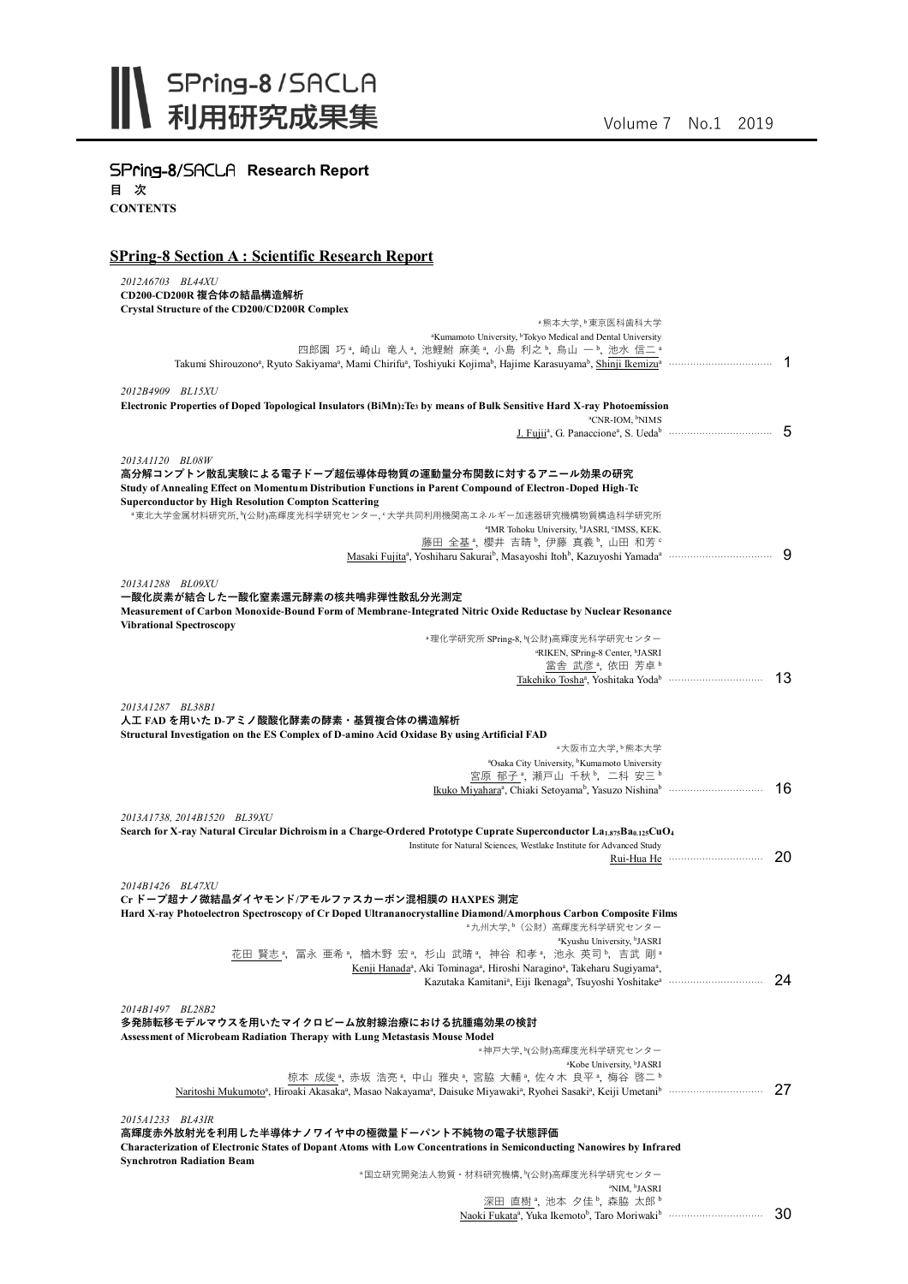

**SPring-8/SACLA Research Report** 

**目 次 CONTENTS**

## **SPring-8 Section A : Scientific Research Report**

| 2012A6703 BL44XU                                                                                                                                                                         |    |
|------------------------------------------------------------------------------------------------------------------------------------------------------------------------------------------|----|
| CD200-CD200R 複合体の結晶構造解析                                                                                                                                                                  |    |
| Crystal Structure of the CD200/CD200R Complex<br><sup>。</sup> 熊本大学、 <sup>b</sup> 東京医科歯科大学                                                                                                |    |
| <sup>a</sup> Kumamoto University, <sup>b</sup> Tokyo Medical and Dental University                                                                                                       |    |
| 四郎園 巧 ª, 崎山 竜人 ª, 池鯉鮒 麻美 ª, 小島 利之 ʰ, 烏山 一 ʰ, 池水 信二 ª                                                                                                                                     |    |
| Takumi Shirouzono <sup>a</sup> , Ryuto Sakiyama <sup>a</sup> , Mami Chirifu <sup>a</sup> , Toshiyuki Kojima <sup>b</sup> , Hajime Karasuyama <sup>b</sup> , Shinji Ikemizu <sup>a</sup>  | 1  |
| 2012B4909 BL15XU                                                                                                                                                                         |    |
| Electronic Properties of Doped Topological Insulators (BiMn) <sub>2</sub> Te <sub>3</sub> by means of Bulk Sensitive Hard X-ray Photoemission                                            |    |
| <sup>a</sup> CNR-IOM, <sup>b</sup> NIMS                                                                                                                                                  |    |
|                                                                                                                                                                                          | 5  |
| 2013A1120 BL08W                                                                                                                                                                          |    |
| 高分解コンプトン散乱実験による電子ドープ超伝導体母物質の運動量分布関数に対するアニール効果の研究                                                                                                                                         |    |
| Study of Annealing Effect on Momentum Distribution Functions in Parent Compound of Electron-Doped High-Tc                                                                                |    |
| <b>Superconductor by High Resolution Compton Scattering</b>                                                                                                                              |    |
| ■東北大学金属材料研究所,∀公財)高輝度光科学研究センター, 『大学共同利用機関高エネルギー加速器研究機構物質構造科学研究所                                                                                                                           |    |
| <sup>a</sup> IMR Tohoku University, <sup>b</sup> JASRI, <sup>c</sup> IMSS, KEK.<br>藤田 全基 <sup>a</sup> , 櫻井 吉晴b, 伊藤 真義b, 山田 和芳。                                                           |    |
|                                                                                                                                                                                          |    |
|                                                                                                                                                                                          |    |
| 2013A1288 BL09XU                                                                                                                                                                         |    |
| 一酸化炭素が結合した一酸化窒素還元酵素の核共鳴非弾性散乱分光測定<br>Measurement of Carbon Monoxide-Bound Form of Membrane-Integrated Nitric Oxide Reductase by Nuclear Resonance                                         |    |
| <b>Vibrational Spectroscopy</b>                                                                                                                                                          |    |
| ª理化学研究所 SPring-8, ʰ(公財)高輝度光科学研究センター                                                                                                                                                      |    |
| <sup>a</sup> RIKEN, SPring-8 Center, <sup>b</sup> JASRI                                                                                                                                  |    |
| 當舎 武彦 <sup>a</sup> , 依田 芳卓b                                                                                                                                                              | 13 |
| Takehiko Tosha <sup>a</sup> , Yoshitaka Yoda <sup>b</sup>                                                                                                                                |    |
| 2013A1287 BL38B1                                                                                                                                                                         |    |
| 人工 FAD を用いた D-アミノ酸酸化酵素の酵素・基質複合体の構造解析                                                                                                                                                     |    |
| Structural Investigation on the ES Complex of D-amino Acid Oxidase By using Artificial FAD                                                                                               |    |
| ◦大阪市立大学,♭熊本大学<br><sup>a</sup> Osaka City University, <sup>b</sup> Kumamoto University                                                                                                    |    |
| 宮原 郁子 ª, 瀬戸山 千秋 ʰ, 二科 安三 ʰ                                                                                                                                                               |    |
|                                                                                                                                                                                          | 16 |
|                                                                                                                                                                                          |    |
| 2013A1738, 2014B1520 BL39XU<br>Search for X-ray Natural Circular Dichroism in a Charge-Ordered Prototype Cuprate Superconductor La1,875Ba0,125CuO4                                       |    |
| Institute for Natural Sciences, Westlake Institute for Advanced Study                                                                                                                    |    |
| Rui-Hua He                                                                                                                                                                               | 20 |
|                                                                                                                                                                                          |    |
| 2014B1426 BL47XU<br>Cr ドープ超ナノ微結晶ダイヤモンド/アモルファスカーボン混相膜の HAXPES 測定                                                                                                                          |    |
| Hard X-ray Photoelectron Spectroscopy of Cr Doped Ultrananocrystalline Diamond/Amorphous Carbon Composite Films                                                                          |    |
| ■九州大学、 <sup>■</sup> (公財) 高輝度光科学研究センター                                                                                                                                                    |    |
| <sup>a</sup> Kyushu University, <sup>b</sup> JASRI                                                                                                                                       |    |
| <u>花田 賢志。,</u> 冨永 亜希。, 楢木野 宏。, 杉山 武晴。, 神谷 和孝。, 池永 英司。, 吉武 剛。<br>Kenji Hanada <sup>a</sup> , Aki Tominaga <sup>a</sup> , Hiroshi Naragino <sup>a</sup> , Takeharu Sugiyama <sup>a</sup> , |    |
|                                                                                                                                                                                          | 24 |
|                                                                                                                                                                                          |    |
| 2014B1497 BL28B2                                                                                                                                                                         |    |
| 多発肺転移モデルマウスを用いたマイクロビーム放射線治療における抗腫瘍効果の検討<br><b>Assessment of Microbeam Radiation Therapy with Lung Metastasis Mouse Model</b>                                                             |    |
| ª神戸大学,∀公財)高輝度光科学研究センター                                                                                                                                                                   |    |
| <sup>a</sup> Kobe University, <sup>b</sup> JASRI                                                                                                                                         |    |
| 椋本 成俊 ª, 赤坂 浩亮 ª, 中山 雅央 ª, 宮脇 大輔 ª, 佐々木 良平 ª, 梅谷 啓二 b                                                                                                                                    |    |
| Naritoshi Mukumoto <sup>a</sup> , Hiroaki Akasaka <sup>a</sup> , Masao Nakayama <sup>a</sup> , Daisuke Miyawaki <sup>a</sup> , Ryohei Sasaki <sup>a</sup> , Keiji Umetanib mukummammamm  | 27 |
| 2015A1233 BL43IR                                                                                                                                                                         |    |
| 高輝度赤外放射光を利用した半導体ナノワイヤ中の極微量ドーパント不純物の電子状態評価                                                                                                                                                |    |
| Characterization of Electronic States of Dopant Atoms with Low Concentrations in Semiconducting Nanowires by Infrared                                                                    |    |
| <b>Synchrotron Radiation Beam</b>                                                                                                                                                        |    |
| ª国立研究開発法人物質・材料研究機構, ʰ(公財)高輝度光科学研究センター                                                                                                                                                    |    |
| <sup>a</sup> NIM, <sup>b</sup> JASRI<br>深田 直樹 <sup>。</sup> , 池本 夕佳b, 森脇 太郎b                                                                                                              |    |
|                                                                                                                                                                                          | 30 |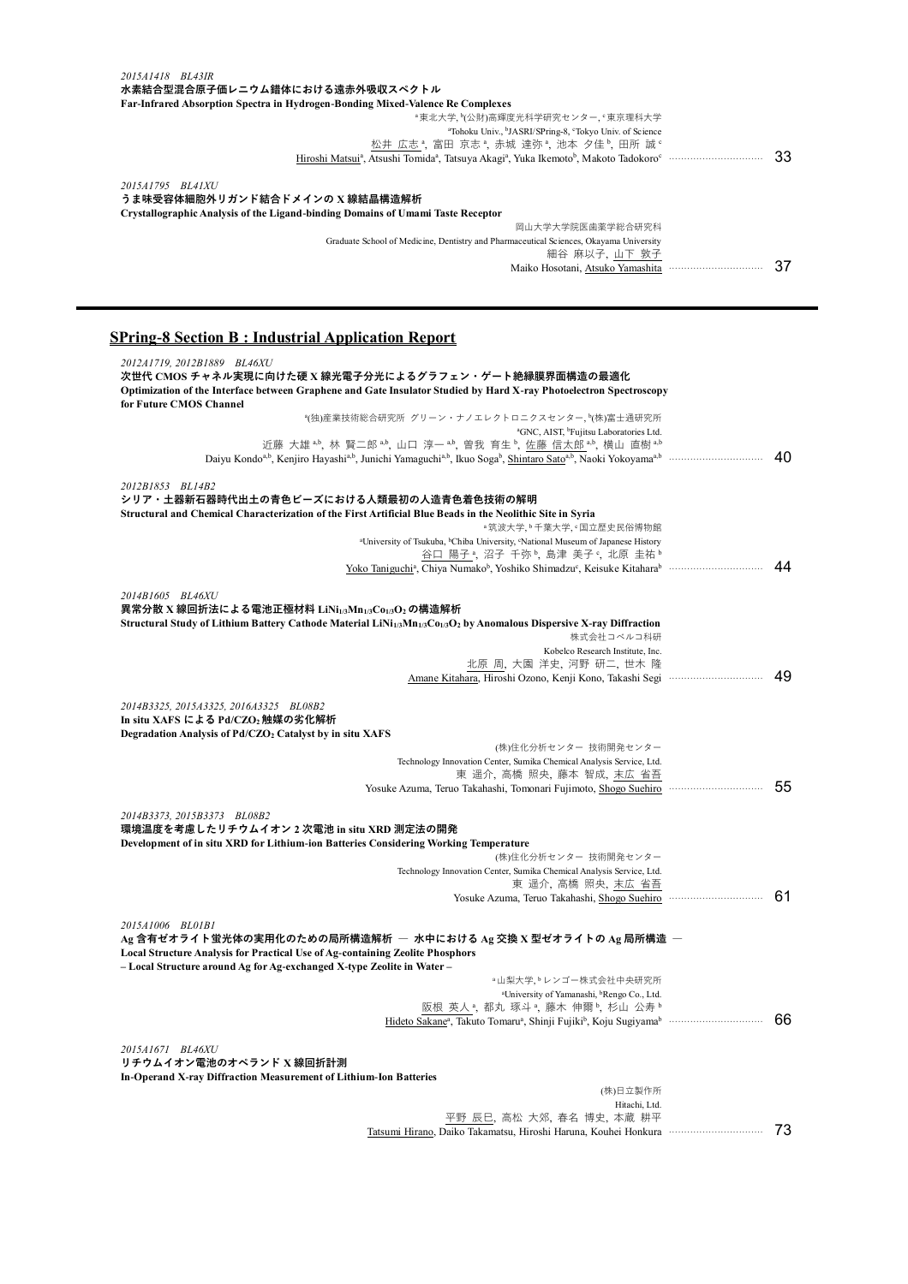| 33 |
|----|
|    |
|    |
|    |
|    |
|    |
|    |
| 37 |
|    |

## **SPring-8 Section B : Industrial Application Report**

| 2012A1719, 2012B1889 BL46XU<br>次世代 CMOS チャネル実現に向けた硬 X 線光電子分光によるグラフェン・ゲート絶縁膜界面構造の最適化                                                                                                 |    |
|-------------------------------------------------------------------------------------------------------------------------------------------------------------------------------------|----|
| Optimization of the Interface between Graphene and Gate Insulator Studied by Hard X-ray Photoelectron Spectroscopy                                                                  |    |
| for Future CMOS Channel                                                                                                                                                             |    |
| *(独)産業技術総合研究所 グリーン・ナノエレクトロニクスセンター, ヤ(株)富士通研究所                                                                                                                                       |    |
| <sup>a</sup> GNC, AIST, <sup>b</sup> Fujitsu Laboratories Ltd.                                                                                                                      |    |
| 近藤 大雄 $a$ , 林 賢二郎 $a$ , 山口 淳一 $a$ , 曽我 育生 , 佐藤 信太郎 $a$ , 横山 直樹 $a$                                                                                                                  | 40 |
|                                                                                                                                                                                     |    |
| 2012B1853 BL14B2                                                                                                                                                                    |    |
| シリア・土器新石器時代出土の青色ビーズにおける人類最初の人造青色着色技術の解明                                                                                                                                             |    |
| Structural and Chemical Characterization of the First Artificial Blue Beads in the Neolithic Site in Syria                                                                          |    |
| <sup>。</sup> 筑波大学, <sup>6</sup> 千葉大学, <sup>c</sup> 国立歴史民俗博物館                                                                                                                        |    |
| <sup>a</sup> University of Tsukuba, <sup>b</sup> Chiba University, <sup>c</sup> National Museum of Japanese History                                                                 |    |
| 谷口 陽子 ª, 沼子 千弥 ʰ, 島津 美子 º, 北原 圭祐 ʰ                                                                                                                                                  |    |
|                                                                                                                                                                                     | 44 |
|                                                                                                                                                                                     |    |
| 2014B1605 BL46XU                                                                                                                                                                    |    |
| 異常分散 X 線回折法による電池正極材料 LiNi1/3Mn1/3C01/3O2 の構造解析                                                                                                                                      |    |
| Structural Study of Lithium Battery Cathode Material LiNi <sub>1/3</sub> Mn <sub>1/3</sub> Co <sub>1/3</sub> O <sub>2</sub> by Anomalous Dispersive X-ray Diffraction<br>株式会社コベルコ科研 |    |
| Kobelco Research Institute, Inc.                                                                                                                                                    |    |
| 北原 周, 大園 洋史, 河野 研二, 世木 隆                                                                                                                                                            |    |
|                                                                                                                                                                                     | 49 |
|                                                                                                                                                                                     |    |
| 2014B3325, 2015A3325, 2016A3325 BL08B2                                                                                                                                              |    |
| In situ XAFS による Pd/CZO2 触媒の劣化解析                                                                                                                                                    |    |
| Degradation Analysis of Pd/CZO2 Catalyst by in situ XAFS                                                                                                                            |    |
| (株)住化分析センター 技術開発センター                                                                                                                                                                |    |
| Technology Innovation Center, Sumika Chemical Analysis Service, Ltd.<br>東 遥介, 高橋 照央, 藤本 智成, 末広 省吾                                                                                   |    |
|                                                                                                                                                                                     | 55 |
|                                                                                                                                                                                     |    |
| 2014B3373, 2015B3373 BL08B2                                                                                                                                                         |    |
| 環境温度を考慮したリチウムイオン 2 次電池 in situ XRD 測定法の開発                                                                                                                                           |    |
| Development of in situ XRD for Lithium-ion Batteries Considering Working Temperature                                                                                                |    |
| (株)住化分析センター 技術開発センター                                                                                                                                                                |    |
| Technology Innovation Center, Sumika Chemical Analysis Service, Ltd.                                                                                                                |    |
| 東 遥介,高橋 照央,末広 省吾<br>Yosuke Azuma, Teruo Takahashi, Shogo Suehiro                                                                                                                    | 61 |
|                                                                                                                                                                                     |    |
| 2015A1006 BL01B1                                                                                                                                                                    |    |
| Ag 含有ゼオライト蛍光体の実用化のための局所構造解析 ― 水中における Αg 交換 Χ 型ゼオライトの Αg 局所構造 ―                                                                                                                      |    |
| Local Structure Analysis for Practical Use of Ag-containing Zeolite Phosphors                                                                                                       |    |
| - Local Structure around Ag for Ag-exchanged X-type Zeolite in Water-                                                                                                               |    |
| <sup>a</sup> 山梨大学、 <sup>b</sup> レンゴー株式会社中央研究所                                                                                                                                       |    |
| <sup>a</sup> University of Yamanashi, <sup>b</sup> Rengo Co., Ltd.                                                                                                                  |    |
| 阪根 英人 <sup>a</sup> , 都丸 琢斗 <sup>a</sup> , 藤木 伸爾b, 杉山 公寿 b                                                                                                                           | 66 |
|                                                                                                                                                                                     |    |
| 2015A1671 BL46XU                                                                                                                                                                    |    |
| リチウムイオン電池のオペランド X 線回折計測                                                                                                                                                             |    |
| In-Operand X-ray Diffraction Measurement of Lithium-Ion Batteries                                                                                                                   |    |
| (株)日立製作所                                                                                                                                                                            |    |
| Hitachi, Ltd.                                                                                                                                                                       |    |
| 平野 辰巳,高松 大郊,春名 博史,本蔵 耕平                                                                                                                                                             |    |
| Tatsumi Hirano, Daiko Takamatsu, Hiroshi Haruna, Kouhei Honkura                                                                                                                     | 73 |